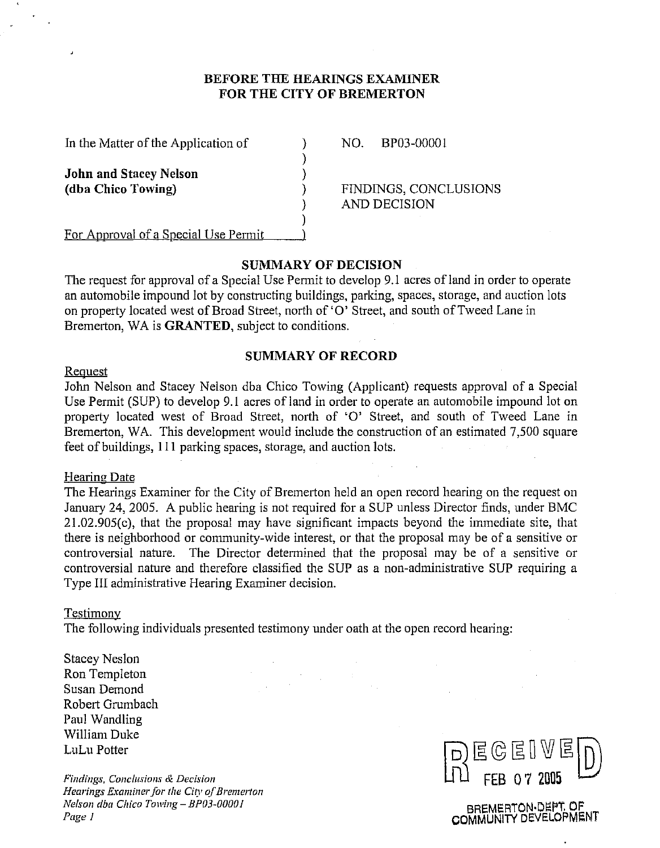## **BEFORE THE HEARINGS EXAMINER**  FOR THE CITY OF BREMERTON

 $)$ 

1

In the Matter of the Application of (a) NO. BP03-00001

**John and Stacey Nelson**<br>(dba Chico Towing)

**(dba Chico Towing)** 1 FINDINGS, CONCLUSIONS 1 AND DECISION

For Approval of a Special Use Permit

# **SUMMARY OF DECISION**

The request for approval of a Special Use Permit to develop 9.1 acres of land in order to operate an automobile impound lot by constructing buildings, parking, spaces, storage, and auction lots on property located west of Broad Street, north of '0' Street, and south of Tweed Lane in Bremerton, WA is **GRANTED,** subject to conditions.

# **SUMMARY OF RECORD**

#### **Request**

John Nelson and Stacey Nelson dba Chico Towing (Applicant) requests approval of a Special Use Permit (SUP) to develop 9.1 acres of land in order to operate an automobile impound lot on property located west of Broad Street, north of 'O' Street, and south of Tweed Lane in Bremerton, WA. This development would include the construction of an estimated 7,500 square feet of buildings, 11 1 parking spaces, storage, and auction lots.

#### Hearine Date

The Hearings Examiner for the City of Bremerton held an open record hearing on the request on January 24, 2005. A public hearing is not required for a SUP unless Director finds, under BMC 21.02.905(c), that the proposal may have significant impacts beyond the immediate site, that there is neighborhood or community-wide interest, or that the proposal may be of a sensitive or controversial nature. The Director determined that the proposal may be of a sensitive or controversial nature and therefore classified the SUP as a non-administrative SUP requiring a Type 111 administrative Hearing Examiner decision.

#### Testimonv

The following individuals presented testimony under oath at the open record hearing:

Stacey Neslon Ron Templeton Susan Demond Robert Grumbach Paul Wandling William Duke LuLu Potter

*Findings, Conclusions & Decision Hearings Examiner for the City of Bremerton Nelson dba Chico Towing - BP03-00001 Pqe I* 



BREMERTON.DEPT **OF**  COMMUNITY DEVELOPMENT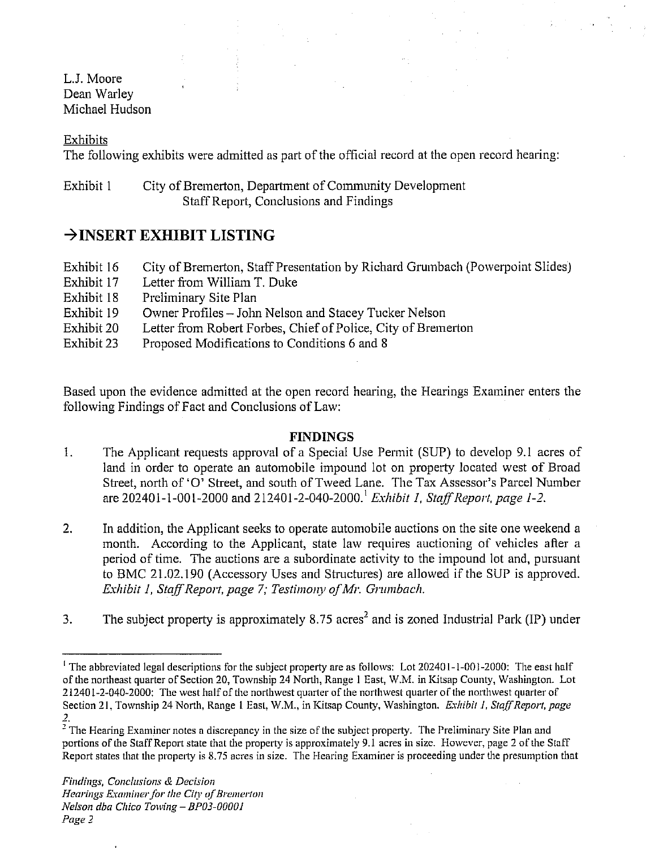L.J. Moore Dean Warley Michael Hudson

Exhibits

The following exhibits were admitted as part of the official record at the open record hearing:

# Exhibit 1 City of Bremerton, Department of Community Development Staff Report, Conclusions and Findings

# **+INSERT EXHIBIT LISTING**

| Exhibit 16 | City of Bremerton, Staff Presentation by Richard Grumbach (Powerpoint Slides) |
|------------|-------------------------------------------------------------------------------|
| Exhibit 17 | Letter from William T. Duke                                                   |
| Exhibit 18 | Preliminary Site Plan                                                         |
| Exhibit 19 | Owner Profiles – John Nelson and Stacey Tucker Nelson                         |
| Exhibit 20 | Letter from Robert Forbes, Chief of Police, City of Bremerton                 |
| Exhibit 23 | Proposed Modifications to Conditions 6 and 8                                  |

Based upon the evidence admitted at the open record hearing, the Hearings Examiner enters the following Findings of Fact and Conclusions of Law:

# **FINDINGS**

- 1. The Applicant requests approval of a Special Use Permit (SUP) to develop 9.1 acres of land in order to operate an automobile impound lot on property located west of Broad Street, north of '0' Street, and south of Tweed Lane. The Tax Assessor's Parcel Number are 202401-1-001-2000 and 212401-2-040-2000.' *Exhibit* I, *StojfReport, page* 1-2.
- 2. **7** In addition, the Applicant seeks to operate automobile auctions on the site one weekend a month. According to the Applicant, state law requires auctioning of vehicles after a period of time. The auctions are a subordinate activity to the impound lot and, pursuant to BMC 21.02.190 (Accessory Uses and Structures) are allowed if the SUP is approved. *Exhibit 1, Staff Report, page 7; Testimony of Mr. Grumbach.*
- 3. The subject property is approximately 8.75 acres<sup>2</sup> and is zoned Industrial Park (IP) under

<sup>&</sup>lt;sup>1</sup> The abbreviated legal descriptions for the subject property are as follows: Lot  $202401$ -1-001-2000: The east half of the northeast quarter of Section 20, Township 24 North, Range I East, W.M. in Kitsap County, Washington. Lot 212401-2-040-2000: The west half of the northwest quarter of the northwest quarter of the northwest quarter of Section 21, Township 24 North, Range 1 East, W.M., in Kitsap County, Washington. *Exhibit 1, Staff Report, page* -. **7** 

The Hearing Examiner notes a discrepancy in the size of the subject property. The Preliminary Site Plan and portions of the Staff Report state that the property is approximately 9.1 acres in size. However, page 2 of the Staff Report states that the property is 8.75 acres in size. The Hearing Examiner is proceeding under the presumption that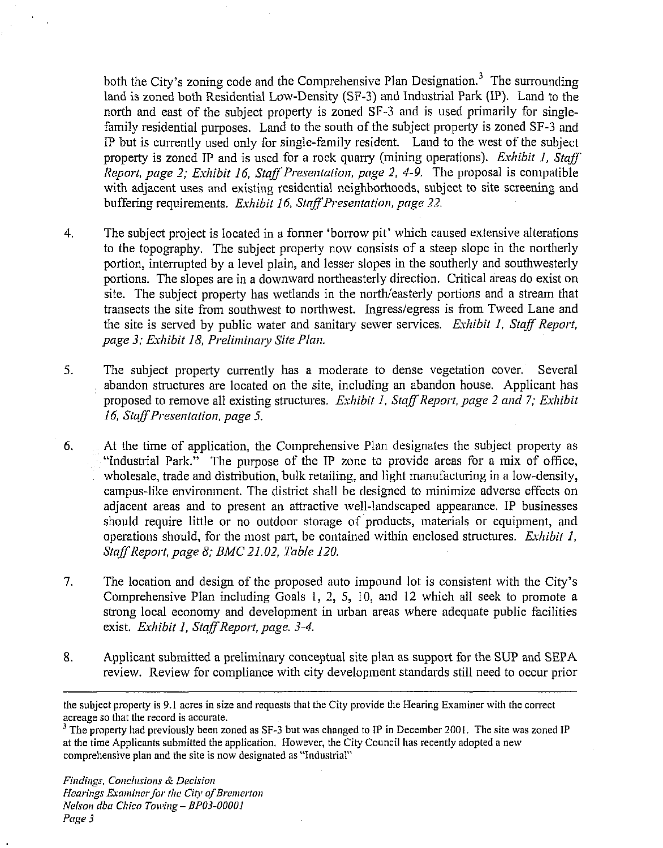both the City's zoning code and the Comprehensive Plan Designation.<sup>3</sup> The surrounding land is zoned both Residential Low-Density (SF-3) and Industrial Park (IP). Land to the north and east of the subject property is zoned SF-3 and is used primarily for singlefamily residential purposes. Land to the south of the subject property is zoned SF-3 and IP but is currently used only for singlc-family resident. Land to the west of the subject property is zoned IP and is used for a rock quarry (mining operations). *Exhibit 1, Staff Report, page 2; Exhibit 16, Staff Presentation, page 2, 4-9.* The proposal is compatible with adjacent uses and existing residential neighborhoods, subject to site screening and buffering requirements. *Exhibit 16, Staff Presentation, page 22.* 

- 4. The subject project is located in a fonner 'borrow pit' which caused extensive alterations to the topography. The subject property now consists of a steep slope in the northerly portion, interrupted by a level plain, and lesser slopes in the southerly and southwesterly portions. The slopes are in a downward northeasterly direction. Critical areas do exist on site. The subject property has wetlands in the north/easterly portions and a stream that transects the site from southwest to northwest. Ingress/egress is from Tweed Lane and the site is served by public water and sanitary sewer services. *Exhibit 1, Staff Report, page 3; Exhibit 18, Preliminary Site Plan.*
- *5.* The subject property currently has a moderate to dense vegetation cover. Several abandon structures are located on the site, including an abandon house. Applicant has proposed to remove all existing structures. *Exhibit 1, Staff Report, page 2 and 7; Exhibit 16. StnffPresentatior~ page* **5.**
- *6.* At the time of application, the Comprehensive Plan designates the subject property as "industrial Park." The purpose of the IP zone to provide areas for a mix of office, wholesale, trade and distribution, bulk retailing, and light manufacturing in a low-density, campus-like environment. The district shall be designed to minimize adverse effects on adjacent areas and to present an attractive well-landscaped appearance. IP businesses should require little or no outdoor storage of products, materials or equipment, and operations should, for the most part, be contained within enclosed structures. *Exhibit I, Staff Report, page 8; BMC 21.02, Table 120.*
- 7. The location and design of the proposed auto impound lot is consistent with the City's Comprehensive Plan including Goals 1, 2, 5, 10, and 12 which all seek to promote a strong local economy and development in urban areas where adequate public facilities exist. *Exhibit 1. StaffReport, page. 3-4.*
- 8. Applicant submitted a preliminary conceptual site plan as support for the SUP and SEPA review. Review for compliance with city development standards still need to occur prior

the subject property is 9.1 acres in size and requests that the City provide the Hearing Examiner with the correct acreage so that the record is accurate.

<sup>&</sup>lt;sup>3</sup> The property had previously been zoned as SF-3 but was changed to IP in December 2001. The site was zoned IP at the time Applicants submitted the application. However, the City Council has recently adopled a new compreliensive plan and the site is now designated as "Industrial"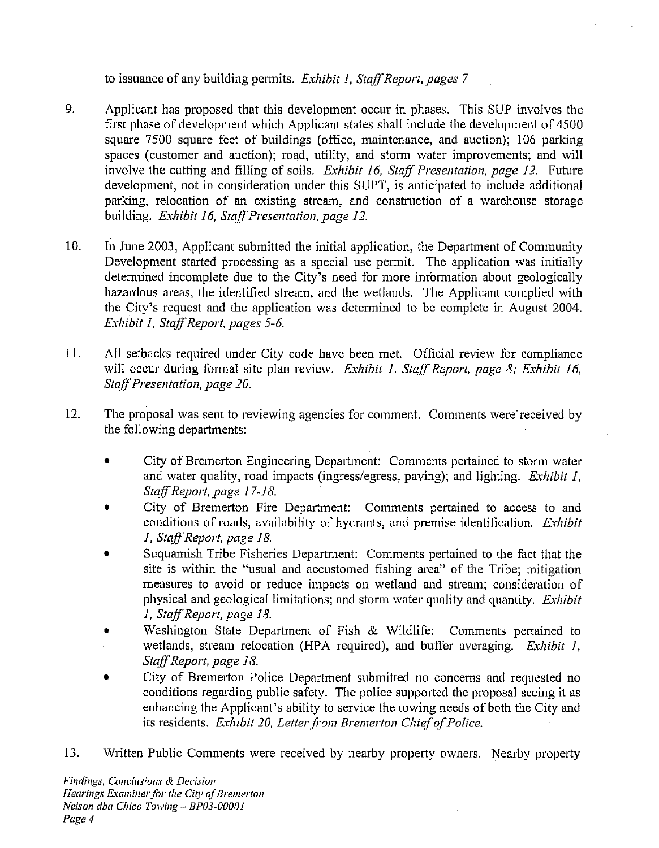to issuance of any building permits. *Exhibit 1, Staff Report, pages 7* 

- 9. Applicant has proposed that this development occur in phases. This SUP involves the first phase of development which Applicant states shall include the development of 4500 square 7500 square feet of buildings (office, maintenance, and auction); 106 parking spaces (customer and auction); road, utility, and storm water improvements; and will involve the cutting and filling of soils. *Exhibit 16, Staff Presentation, page 12*. Future development, not in consideration under this SUPT, is anticipated to include additional parking, relocation of an existing stream, and construction of a warehouse storage building. *Exhibit 16, Staff Presentation, page 12.*
- $10.$ In June 2003, Applicant submitted the initial application, the Department of Community Development started processing as a special use permit. The application was initially determined incomplete due to the City's need for more infonnation about geologically hazardous areas, the identified stream, and the wetlands. The Applicant complied with the City's request and the application was determined to be complete in August 2004. *Eshibit 1, Staff Report, pages 5-6.*
- 11. All setbacks required under City code have been met. Official review for compliance will occur during fonnal site plan review. *Exhibit I, Staff Report, page 8; Exhibit 16, StaffPresentatiori, page 20.*
- 12. The proposal was sent to reviewing agencies for comment. Comments were'received by the following departments:
	- City of Bremerton Engineering Department: Comments pertained to storm water  $\bullet$ and water quality, road impacts (ingresslegress, paving); and lighting. *Exhibit I, StaffReport, page 17-18.*
	- City of Bremerton Fire Department: Comments pertained to access to and conditions of roads, availability of hydrants, and premise identification. *Exhibit I. Staff Report, page 18.*
	- Suquamish Tribe Fisheries Department: Comments pertained to the fact that the site is within the "usual and accustomed fishing area" of the Tribe; mitigation measures to avoid or reduce impacts on wetland and stream; consideration of physical and geological limitations; and stom water quality and quantity. *Exhibit 1. Staff Report, page 18.*
	- **<sup>o</sup>**Washington State Department of Fish **Sr** Wildlife: Comments pertained to wetlands, stream relocation (HPA required), and buffer averaging. *Exhibit I, StaffReport, page 18.*
	- City of Bremerton Police Department submitted no concerns and requested no conditions regarding public safety. The police supported the proposal seeing it as enhancing the Applicant's ability to service the towing needs of both the City and its residents. *Exhibit 20, Letter from Bremerton Chief of Police.*
- 13. Written Public Comments were received by nearby property owners. Nearby property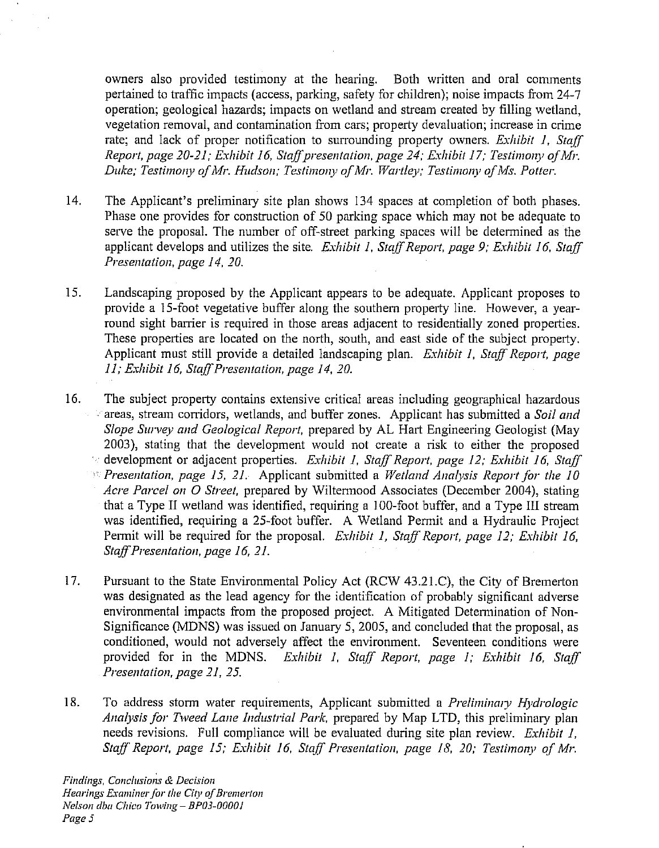owners also provided testimony at the hearing. Both written and oral comments pertained to traffic impacts (access, parking, safety for children); noise impacts from 24-7 operation; geological hazards; impacts on wetland and stream created by filling wetland, vegetation removal, and contamination from cars; property devaluation; increase in crime rate; and lack of proper notification to surrounding property owners. *Exhibit 1, Staff Report, page 20-21; Exhibit 16, Staff presentation, page 24; Exhibit 17; Testimony of Mr. Duke; Testimony of Mr. Hudson; Testimony of Mr. Wartley; Testimony of Ms. Potter.* 

- 14. The Applicant's preliminary site plan shows 134 spaces at completion of both phases. Phase one provides for construction of 50 parking space which may not be adequate to serve the proposal. The number of off-street parking spaces will be determined as the applicant develops and utilizes the site. *Exhibit 1, Staff Report, page 9; Exhibit 16, Staff Presentation, page 14, 20.*
- 15. Landscaping proposed by the Applicant appears to be adequate. Applicant proposes to provide a 15-foot vegetative buffer along the southern property line. However, a yearround sight barrier is required in those areas adjacent to residentially zoned properties. These properties are located on the north, south, and east side of the subject property. Applicant must still provide a detailed landscaping plan. *Exhibit 1, Staff Report, page 11; Exhibit 16, Staff Presentation, page 14, 20.*
- 16. The subject property contains extensive critical areas including geographical hazardous a ish areas, stream corridors, wetlands, and buffer zones. Applicant has submitted a *Soil arid Slope Survey and Geological Report,* prepared by AL Hart Engineering Geologist (May 2003), stating that the development would not create a risk to either the proposed <sup>5</sup> development or adjacent properties. *Exhibit 1, Staff Report, page 12; Exhibit 16, Staff Presentation, page 15, 21.* Applicant submitted a *Wetland Analysis Report for the 10 Acre Parcel on* 0 *Street,* prepared by Wiltennood Associates (December 2004), stating that a Type I1 wetland was identified, requiring a 100-foot buffer, and a Type 111 stream was identified, requiring a 25-foot buffer. A Wetland Permit and a Hydraulic Project Permit will be required for the proposal. *Exhibit 1, Staff Report, page 12; Exhibit 16, Staff Presentation, page 16, 21.*
- 17. Pursuant to the State Environmental Policy Act (RCW 43.21.C), the City of Bremerton was designated as the lead agency for the identification of probably significant adverse environmental impacts from the proposed project. A Mitigated Determination of Non-Significance (MDNS) was issued on January 5,2005, and concluded that the proposal, as conditioned, would not adversely affect the environment. Seventeen conditions were provided for in the MDNS. *Exliibit I, Staff Report, page I; Eshibit 16, Staff Presentation, page 21, 25.*
- 18. To address storm water requirements, Applicant submitted a *Preliminary Hydrologic Analysis for Tweed Lane Industrial Park, prepared by Map LTD, this preliminary plan* needs revisions. Full compliance will be evaluated during site plan review. *Exhibit 1*, *Staff Report, page 15; Exhibit 16, Staff Presentation, page 18, 20; Testimony of Mr.*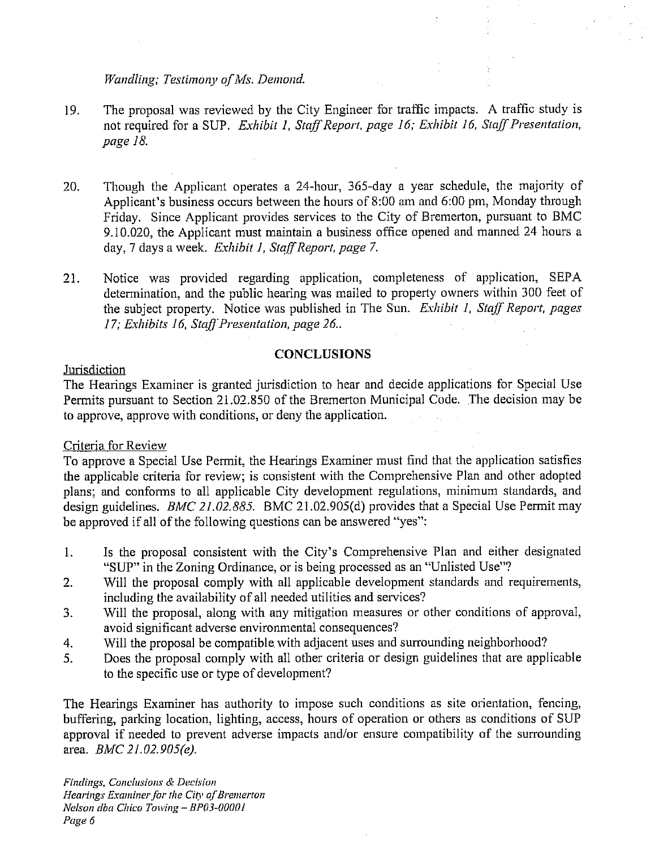## Wandling; Testimony of Ms. Demond.

- The proposal was reviewed by the City Engineer for traffic impacts. A traffic study is 19. not required for a SUP. *Exhibit 1, Staff Report, page 16; Exhibit 16, Staff Presentation, page IS.*
- Though the Applicant operates a 24-hour, 365-day a year schedule, the majority of 20. Applicant's business occurs between the hours of 8:OO am and 6:00 pm, Monday through Friday. Since Applicant provides services to the City of Bremerton, pursuant to BMC 9.10.020, the Applicant must maintain a business office opened and manned 24 hours a day, 7 days a week. *Exhibit I, StqffReport, page 7.*
- 21. Notice was provided regarding application, completeness of application, SEPA determination, and the public hearing was mailed to property owners within 300 feet of the subject property. Notice was published in The Sun. *Exhibit 1, Staff Report, pages* 17; Exhibits 16, Staff Presentation, page 26..

## **CONCLUSIONS**

# Jurisdiction

The Hearings Examiner is granted jurisdiction to hear and decide applications for Special Use Permits pursuant to Section 21.02.850 of the Bremerton Municipal Code. The decision may be to approve, approve with conditions, or deny the application.

# Criteria for Review

To approve a Special Use Permit, the Hearings Examiner must find that the application satisfies the applicable criteria for review; is consistent with the Comprehensive Plan and other adopted plans; and conforms to all applicable City development regulations, minimum standards, and design guidelines. *BkfC 21.02.885.* BMC 21.02.905(d) provides that a Special Use Permit may be approved if all of the following questions can be answered "yes":

- 1. Is the proposal consistent with the City's Comprehensive Plan and either designated "SUP" in the Zoning Ordinance, or is being processed as an "Unlisted Use"?
- 2. Will the proposal comply with all applicable development standards and requirements, including the availability of all needed utilities and services?
- 3. Will the proposal, along with any mitigation measures or other conditions of approval, avoid significant adverse environmental consequences?
- 4. Will the proposal be compatible with adjacent uses and surrounding neighborhood?
- 5. Does the proposal comply with all other criteria or design guidelines that are applicable to the specific use or type of development?

The Hearings Examiner has authority to impose such conditions as site orientation, fencing, buffering, parking location, lighting, access, hours of operation or others as conditions of SUP approval if needed to prevent adverse impacts and/or ensure compatibility of the surrounding area. *BhIC 21.02.905(e).*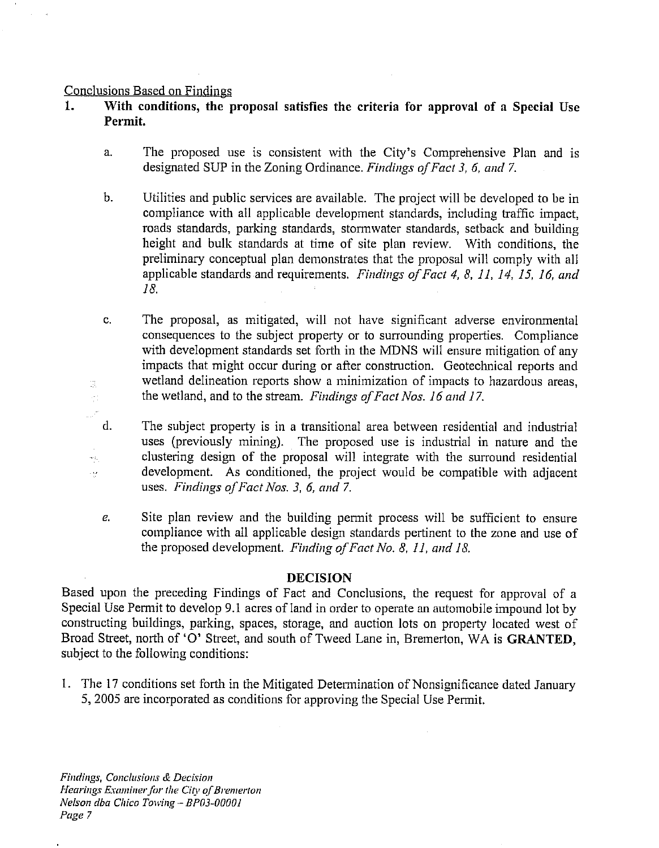#### Conclusions Based on Findines

3.  $\frac{1}{2}$  ).

 $\omega_{\rm NL}$  $\ddot{\phantom{a}}$   $d.$ 

- **1.** With conditions, the proposal satisfies the criteria for approval of a Special Use Permit.
	- The proposed use is consistent with the City's Comprehensive Plan and is a. designated SUP in the Zoning Ordinance. *Findings of Fact 3, 6, and 7.*
	- b. Utilities and public services are available. The project will be developed to be in compliance with all applicable development standards, including traffic impact, roads standards, parking standards, stormwater standards, setback and building height and bulk standards at time of site plan review. With conditions, the preliminary conceptual plan demonstrates that the proposal will comply with all applicable standards and requirements. *Findings of Fact 4, 8, 11, 14, 15, 16, and IS.*

The proposal, as mitigated, will not have significant adverse environmental C. consequences to the subject property or to surrounding properties. Compliance with development standards set forth in the MDNS will ensure mitigation of any impacts that might occur during or after construction. Geotechnical reports and wetland delineation reports show a minimization of impacts to hazardous areas, the wetland, and to the stream. *Findings of Fact Nos. 16 and 17*.

The subject property is in a transitional area between residential and industrial uses (previously mining). The proposed use is industrial in nature and the clustering design of the proposal will integrate with the surround residential development. As conditioned, the project would be compatible with adjacent uses. *Findings of Fact Nos.* 3, 6, and 7.

Site plan review and the building permit process will be sufficient to ensure  $e_{i}$ compliance with all applicable design standards pertinent to the zone and use of the proposed development. *Finding of Fact No. 8, 11, and 18.* 

#### **DECISION**

Based upon the preceding Findings of Fact and Conclusions, the request for approval of a Special Use Permit to develop 9.1 acres of land in order to operate an automobile impound lot by constructing buildings, parking, spaces, storage, and auction lots on property located west of Broad Street, north of '0' Street, and south of Tweed Lane in, Bremerton, WA is **GRANTED,**  subject to the following conditions:

1. The 17 conditions set forth in the Mitigated Determination of Nonsignificance dated January 5, 2005 are incorporated as conditions for approving the Special Use Permit.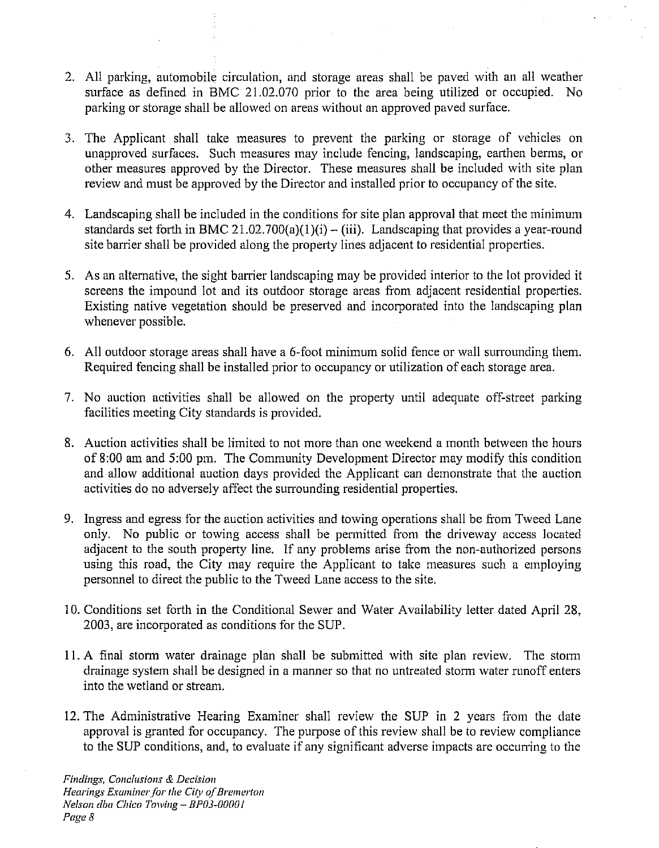- 2. All parking, automobile circulation, and storage areas shall be paved with an all weather surface as defined in BMC 21.02.070 prior to the area being utilized or occupied. No parking or storage shall be allowed on areas without an approved paved surface.
- **3.** The Applicant shall take measures to prevent the parking or storage of vehicles on unapproved surfaces. Such measures may include fencing, landscaping, earthen berms, or other measures approved by the Director. These measures shall be included with site plan review and must be approved by the Director and installed prior to occupancy of the site.
- 4. Landscaping shall be included in the conditions for site plan approval that meet the minimum standards set forth in BMC 21.02.700(a)(1)(i) – (iii). Landscaping that provides a year-round site barrier shall be provided along the property lines adjacent to residential properties.
- 5. As an alternative, the sight barrier landscaping may be provided interior to the lot provided it screens the impound lot and its outdoor storage areas from adjacent residential properties. Existing native vegetation should be preserved and incorporated into the landscaping plan whenever possible.
- 6. All outdoor storage areas shall have a 6-foot minimum solid fence or wall surrounding them. Required fencing shall be installed prior to occupancy or utilization of each storage area.
- 7. No auction activities shall be allowed on the property until adequate off-street parking facilities meeting City standards is provided.
- 8. Auction activities shall be limited to not more than one weekend a month between the hours of 8:00 am and 5:00 pm. The Community Development Director may modify this condition and allow additional auction days provided the Applicant can demonstrate that the auction activities do no adversely affect the surrounding residential properties.
- 9. Ingress and egress for the auction activities and towing operations shall be from Tweed Lane only. No public or towing access shall be permitted from the driveway access located adjacent to the south property line. If any problems arise from the non-authorized persons using this road, the City may require the Applicant to take measures such a employing personnel to direct the public to the Tweed Lane access to the site.
- 10. Conditions set forth in the Conditional Sewer and Water Availability letter dated April 28, 2003, are incorporated as conditions for the SUP.
- 11. A final storm water drainage plan shall be submitted with site plan review. The storm drainage system shall be designed in a manner so that no untreated stonn water runoff enters into the wetland or stream.
- 12. The Administrative Hearing Examiner shall review the SUP in 2 years from the date approval is granted for occupancy. The purpose of this review shall be to review compliance to the SUP conditions, and, to evaluate if any significant adverse impacts are occurring to the